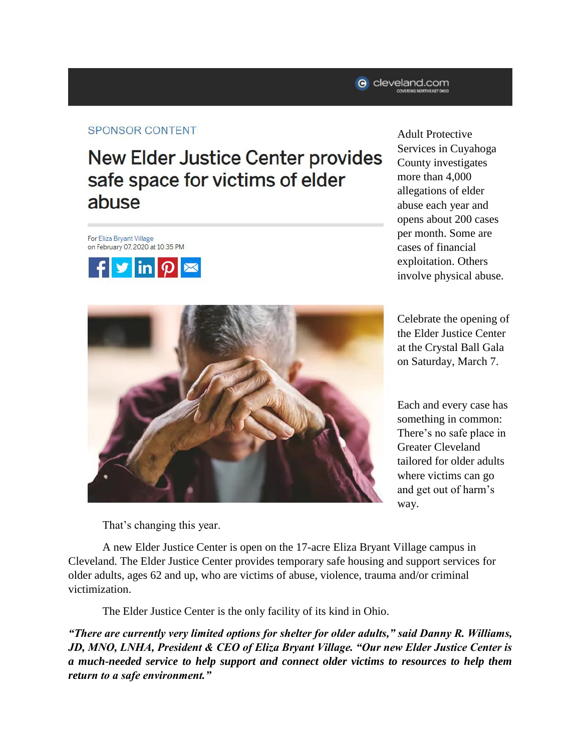## **SPONSOR CONTENT**

## **New Elder Justice Center provides** safe space for victims of elder abuse

For Eliza Bryant Village on February 07, 2020 at 10:35 PM





Adult Protective Services in Cuyahoga County investigates more than 4,000 allegations of elder abuse each year and opens about 200 cases per month. Some are cases of financial exploitation. Others involve physical abuse.

Celebrate the opening of the Elder Justice Center at the Crystal Ball Gala on Saturday, March 7.

Each and every case has something in common: There's no safe place in Greater Cleveland tailored for older adults where victims can go and get out of harm's way.

That's changing this year.

A new Elder Justice Center is open on the 17-acre Eliza Bryant Village campus in Cleveland. The Elder Justice Center provides temporary safe housing and support services for older adults, ages 62 and up, who are victims of abuse, violence, trauma and/or criminal victimization.

The Elder Justice Center is the only facility of its kind in Ohio.

*"There are currently very limited options for shelter for older adults," said Danny R. Williams, JD, MNO, LNHA, President & CEO of Eliza Bryant Village. "Our new Elder Justice Center is a much-needed service to help support and connect older victims to resources to help them return to a safe environment."*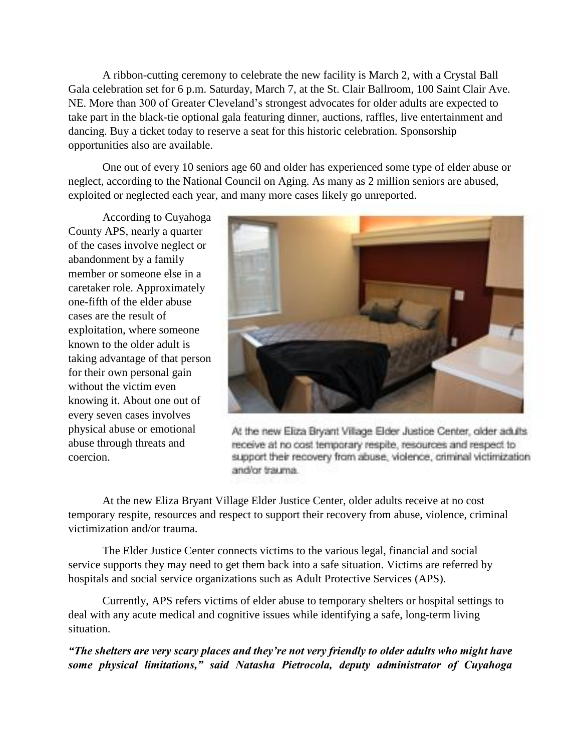A ribbon-cutting ceremony to celebrate the new facility is March 2, with a Crystal Ball Gala celebration set for 6 p.m. Saturday, March 7, at the St. Clair Ballroom, 100 Saint Clair Ave. NE. More than 300 of Greater Cleveland's strongest advocates for older adults are expected to take part in the black-tie optional gala featuring dinner, auctions, raffles, live entertainment and dancing. Buy a ticket today to reserve a seat for this historic celebration. Sponsorship opportunities also are available.

One out of every 10 seniors age 60 and older has experienced some type of elder abuse or neglect, according to the National Council on Aging. As many as 2 million seniors are abused, exploited or neglected each year, and many more cases likely go unreported.

According to Cuyahoga County APS, nearly a quarter of the cases involve neglect or abandonment by a family member or someone else in a caretaker role. Approximately one-fifth of the elder abuse cases are the result of exploitation, where someone known to the older adult is taking advantage of that person for their own personal gain without the victim even knowing it. About one out of every seven cases involves physical abuse or emotional abuse through threats and coercion.



At the new Eliza Bryant Village Elder Justice Center, older adults receive at no cost temporary respite, resources and respect to support their recovery from abuse, violence, criminal victimization and/or trauma.

At the new Eliza Bryant Village Elder Justice Center, older adults receive at no cost temporary respite, resources and respect to support their recovery from abuse, violence, criminal victimization and/or trauma.

The Elder Justice Center connects victims to the various legal, financial and social service supports they may need to get them back into a safe situation. Victims are referred by hospitals and social service organizations such as Adult Protective Services (APS).

Currently, APS refers victims of elder abuse to temporary shelters or hospital settings to deal with any acute medical and cognitive issues while identifying a safe, long-term living situation.

*"The shelters are very scary places and they're not very friendly to older adults who might have some physical limitations," said Natasha Pietrocola, deputy administrator of Cuyahoga*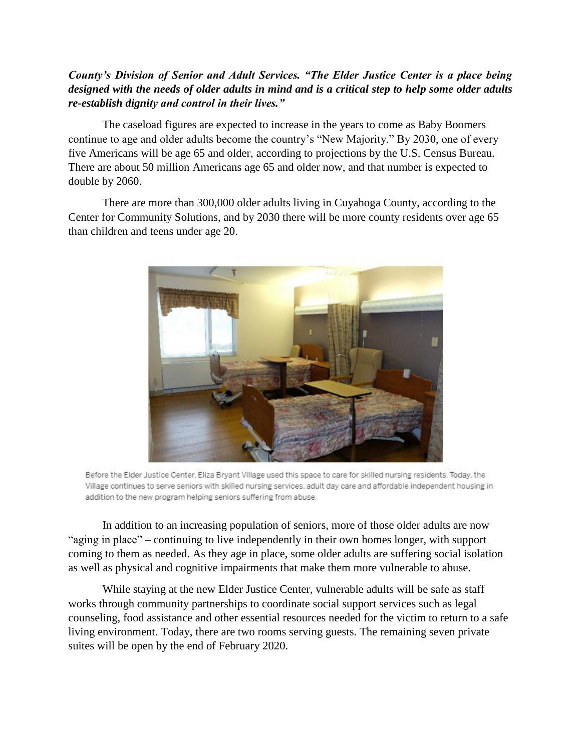## *County's Division of Senior and Adult Services. "The Elder Justice Center is a place being designed with the needs of older adults in mind and is a critical step to help some older adults re-establish dignity and control in their lives."*

The caseload figures are expected to increase in the years to come as Baby Boomers continue to age and older adults become the country's "New Majority." By 2030, one of every five Americans will be age 65 and older, according to projections by the U.S. Census Bureau. There are about 50 million Americans age 65 and older now, and that number is expected to double by 2060.

There are more than 300,000 older adults living in Cuyahoga County, according to the Center for Community Solutions, and by 2030 there will be more county residents over age 65 than children and teens under age 20.



Before the Elder Justice Center, Eliza Bryant Village used this space to care for skilled nursing residents. Today, the Village continues to serve seniors with skilled nursing services, adult day care and affordable independent housing in addition to the new program helping seniors suffering from abuse.

In addition to an increasing population of seniors, more of those older adults are now "aging in place" – continuing to live independently in their own homes longer, with support coming to them as needed. As they age in place, some older adults are suffering social isolation as well as physical and cognitive impairments that make them more vulnerable to abuse.

While staying at the new Elder Justice Center, vulnerable adults will be safe as staff works through community partnerships to coordinate social support services such as legal counseling, food assistance and other essential resources needed for the victim to return to a safe living environment. Today, there are two rooms serving guests. The remaining seven private suites will be open by the end of February 2020.